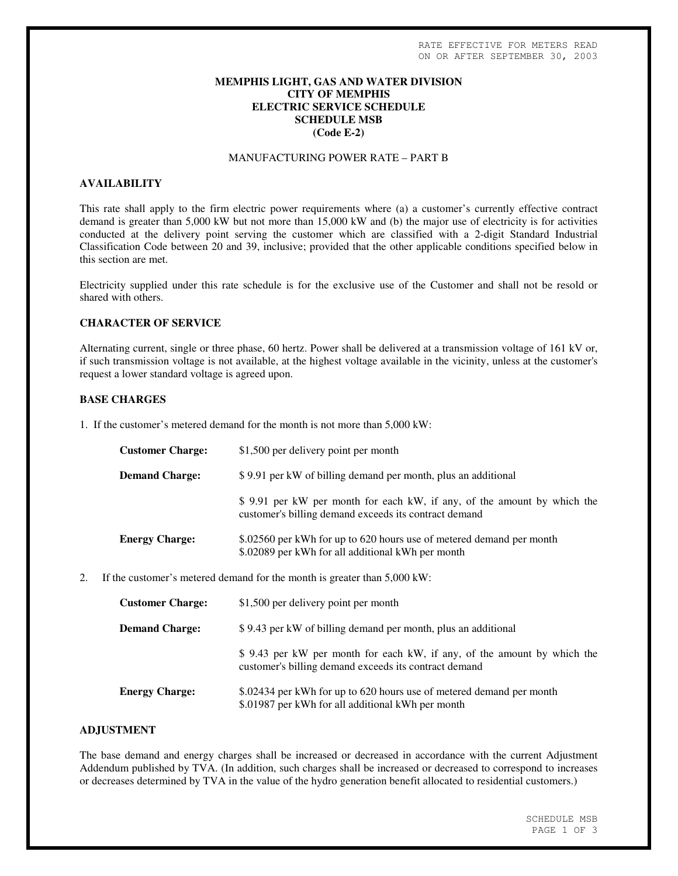#### **MEMPHIS LIGHT, GAS AND WATER DIVISION CITY OF MEMPHIS ELECTRIC SERVICE SCHEDULE SCHEDULE MSB (Code E-2)**

#### MANUFACTURING POWER RATE – PART B

# **AVAILABILITY**

This rate shall apply to the firm electric power requirements where (a) a customer's currently effective contract demand is greater than 5,000 kW but not more than 15,000 kW and (b) the major use of electricity is for activities conducted at the delivery point serving the customer which are classified with a 2-digit Standard Industrial Classification Code between 20 and 39, inclusive; provided that the other applicable conditions specified below in this section are met.

Electricity supplied under this rate schedule is for the exclusive use of the Customer and shall not be resold or shared with others.

# **CHARACTER OF SERVICE**

Alternating current, single or three phase, 60 hertz. Power shall be delivered at a transmission voltage of 161 kV or, if such transmission voltage is not available, at the highest voltage available in the vicinity, unless at the customer's request a lower standard voltage is agreed upon.

#### **BASE CHARGES**

1. If the customer's metered demand for the month is not more than 5,000 kW:

| <b>Customer Charge:</b> | \$1,500 per delivery point per month                                                                                              |
|-------------------------|-----------------------------------------------------------------------------------------------------------------------------------|
| <b>Demand Charge:</b>   | \$9.91 per kW of billing demand per month, plus an additional                                                                     |
|                         | \$ 9.91 per kW per month for each kW, if any, of the amount by which the<br>customer's billing demand exceeds its contract demand |
| <b>Energy Charge:</b>   | \$.02560 per kWh for up to 620 hours use of metered demand per month<br>\$.02089 per kWh for all additional kWh per month         |

2. If the customer's metered demand for the month is greater than 5,000 kW:

| <b>Customer Charge:</b> | \$1,500 per delivery point per month                                                                                              |
|-------------------------|-----------------------------------------------------------------------------------------------------------------------------------|
| <b>Demand Charge:</b>   | \$9.43 per kW of billing demand per month, plus an additional                                                                     |
|                         | \$ 9.43 per kW per month for each kW, if any, of the amount by which the<br>customer's billing demand exceeds its contract demand |
| <b>Energy Charge:</b>   | \$.02434 per kWh for up to 620 hours use of metered demand per month<br>\$.01987 per kWh for all additional kWh per month         |

# **ADJUSTMENT**

The base demand and energy charges shall be increased or decreased in accordance with the current Adjustment Addendum published by TVA. (In addition, such charges shall be increased or decreased to correspond to increases or decreases determined by TVA in the value of the hydro generation benefit allocated to residential customers.)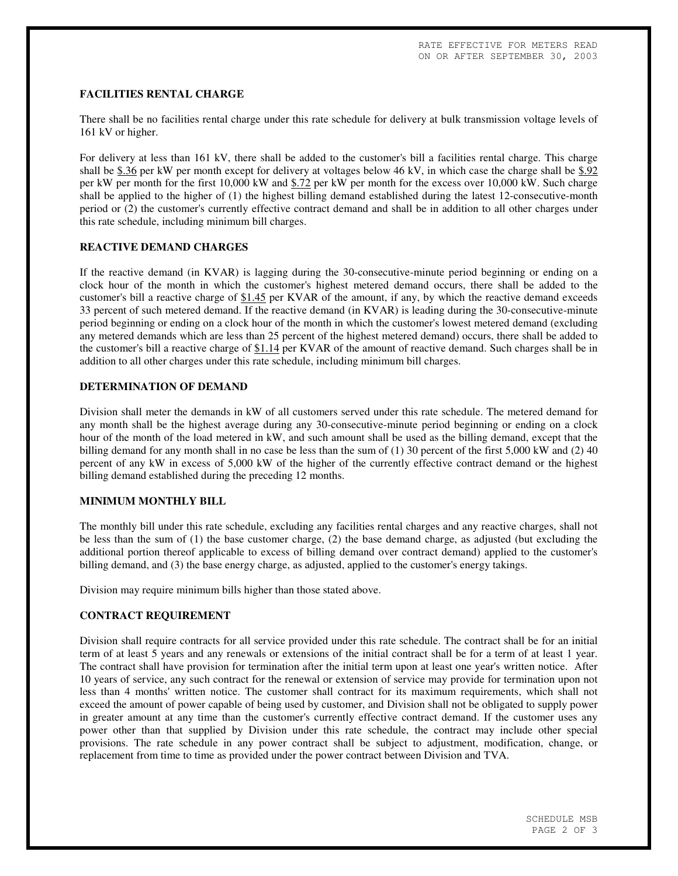#### **FACILITIES RENTAL CHARGE**

There shall be no facilities rental charge under this rate schedule for delivery at bulk transmission voltage levels of 161 kV or higher.

For delivery at less than 161 kV, there shall be added to the customer's bill a facilities rental charge. This charge shall be  $$.36$  per kW per month except for delivery at voltages below 46 kV, in which case the charge shall be  $$.92$ per kW per month for the first 10,000 kW and \$.72 per kW per month for the excess over 10,000 kW. Such charge shall be applied to the higher of (1) the highest billing demand established during the latest 12-consecutive-month period or (2) the customer's currently effective contract demand and shall be in addition to all other charges under this rate schedule, including minimum bill charges.

#### **REACTIVE DEMAND CHARGES**

If the reactive demand (in KVAR) is lagging during the 30-consecutive-minute period beginning or ending on a clock hour of the month in which the customer's highest metered demand occurs, there shall be added to the customer's bill a reactive charge of \$1.45 per KVAR of the amount, if any, by which the reactive demand exceeds 33 percent of such metered demand. If the reactive demand (in KVAR) is leading during the 30-consecutive-minute period beginning or ending on a clock hour of the month in which the customer's lowest metered demand (excluding any metered demands which are less than 25 percent of the highest metered demand) occurs, there shall be added to the customer's bill a reactive charge of \$1.14 per KVAR of the amount of reactive demand. Such charges shall be in addition to all other charges under this rate schedule, including minimum bill charges.

#### **DETERMINATION OF DEMAND**

Division shall meter the demands in kW of all customers served under this rate schedule. The metered demand for any month shall be the highest average during any 30-consecutive-minute period beginning or ending on a clock hour of the month of the load metered in kW, and such amount shall be used as the billing demand, except that the billing demand for any month shall in no case be less than the sum of (1) 30 percent of the first 5,000 kW and (2) 40 percent of any kW in excess of 5,000 kW of the higher of the currently effective contract demand or the highest billing demand established during the preceding 12 months.

## **MINIMUM MONTHLY BILL**

The monthly bill under this rate schedule, excluding any facilities rental charges and any reactive charges, shall not be less than the sum of (1) the base customer charge, (2) the base demand charge, as adjusted (but excluding the additional portion thereof applicable to excess of billing demand over contract demand) applied to the customer's billing demand, and (3) the base energy charge, as adjusted, applied to the customer's energy takings.

Division may require minimum bills higher than those stated above.

#### **CONTRACT REQUIREMENT**

Division shall require contracts for all service provided under this rate schedule. The contract shall be for an initial term of at least 5 years and any renewals or extensions of the initial contract shall be for a term of at least 1 year. The contract shall have provision for termination after the initial term upon at least one year's written notice. After 10 years of service, any such contract for the renewal or extension of service may provide for termination upon not less than 4 months'written notice. The customer shall contract for its maximum requirements, which shall not exceed the amount of power capable of being used by customer, and Division shall not be obligated to supply power in greater amount at any time than the customer's currently effective contract demand. If the customer uses any power other than that supplied by Division under this rate schedule, the contract may include other special provisions. The rate schedule in any power contract shall be subject to adjustment, modification, change, or replacement from time to time as provided under the power contract between Division and TVA.